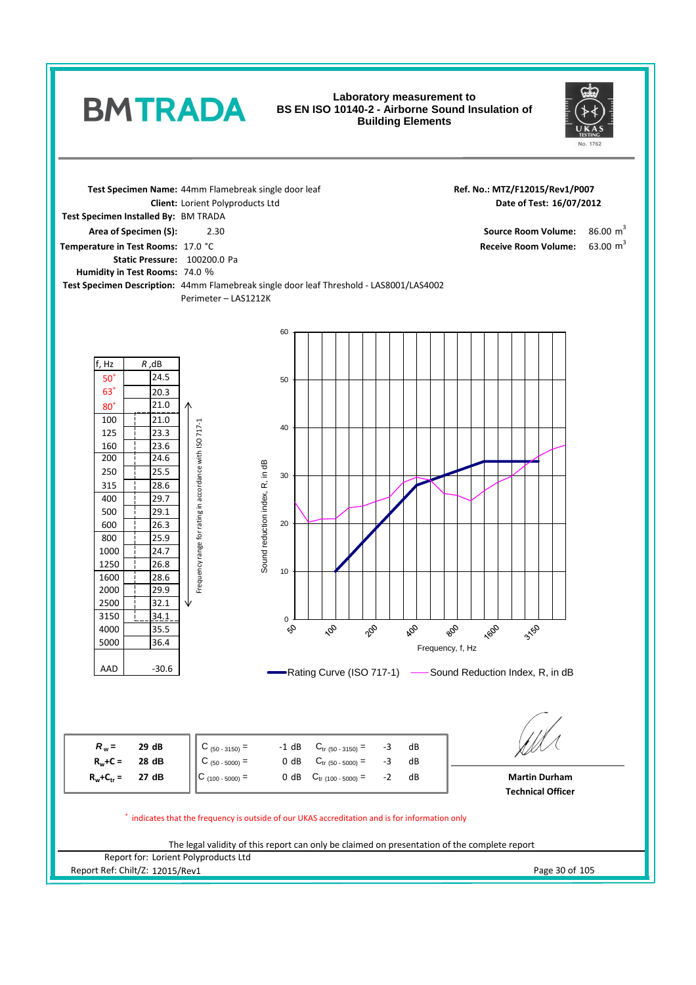